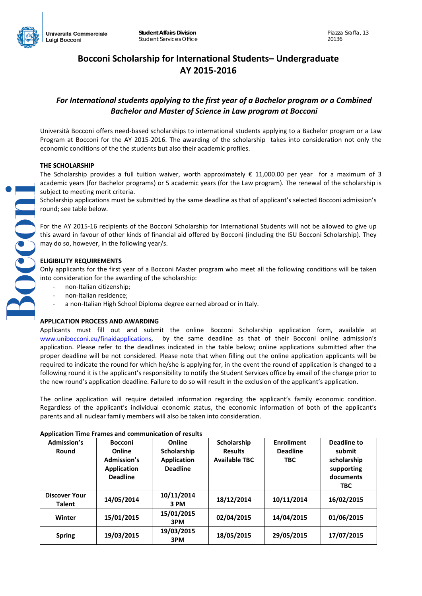# **Bocconi Scholarship for International Students– Undergraduate AY 2015-2016**

# *For International students applying to the first year of a Bachelor program or a Combined Bachelor and Master of Science in Law program at Bocconi*

Università Bocconi offers need-based scholarships to international students applying to a Bachelor program or a Law Program at Bocconi for the AY 2015-2016. The awarding of the scholarship takes into consideration not only the economic conditions of the the students but also their academic profiles.

# **THE SCHOLARSHIP**

The Scholarship provides a full tuition waiver, worth approximately  $\epsilon$  11,000.00 per year for a maximum of 3 academic years (for Bachelor programs) or 5 academic years (for the Law program). The renewal of the scholarship is subject to meeting merit criteria.

Scholarship applications must be submitted by the same deadline as that of applicant's selected Bocconi admission's round; see table below.

For the AY 2015-16 recipients of the Bocconi Scholarship for International Students will not be allowed to give up this award in favour of other kinds of financial aid offered by Bocconi (including the ISU Bocconi Scholarship). They may do so, however, in the following year/s.

# **ELIGIBILITY REQUIREMENTS**

Only applicants for the first year of a Bocconi Master program who meet all the following conditions will be taken into consideration for the awarding of the scholarship:

- non-Italian citizenship;
- non-Italian residence;
- a non-Italian High School Diploma degree earned abroad or in Italy.

# **APPLICATION PROCESS AND AWARDING**

Applicants must fill out and submit the online Bocconi Scholarship application form, available at [www.unibocconi.eu/finaidapplications,](http://www.unibocconi.eu/finaidapplications) by the same deadline as that of their Bocconi online admission's application. Please refer to the deadlines indicated in the table below; online applications submitted after the proper deadline will be not considered. Please note that when filling out the online application applicants will be required to indicate the round for which he/she is applying for, in the event the round of application is changed to a following round it is the applicant's responsibility to notify the Student Services office by email of the change prior to the new round's application deadline. Failure to do so will result in the exclusion of the applicant's application.

The online application will require detailed information regarding the applicant's family economic condition. Regardless of the applicant's individual economic status, the economic information of both of the applicant's parents and all nuclear family members will also be taken into consideration.

| <b>Admission's</b>                    | <b>Bocconi</b>                                                 | Online                                               | Scholarship                            | <b>Enrollment</b>             | Deadline to                                              |
|---------------------------------------|----------------------------------------------------------------|------------------------------------------------------|----------------------------------------|-------------------------------|----------------------------------------------------------|
| Round                                 | Online<br>Admission's<br><b>Application</b><br><b>Deadline</b> | Scholarship<br><b>Application</b><br><b>Deadline</b> | <b>Results</b><br><b>Available TBC</b> | <b>Deadline</b><br><b>TBC</b> | submit<br>scholarship<br>supporting<br>documents<br>TBC. |
| <b>Discover Your</b><br><b>Talent</b> | 14/05/2014                                                     | 10/11/2014<br>3 PM                                   | 18/12/2014                             | 10/11/2014                    | 16/02/2015                                               |
| Winter                                | 15/01/2015                                                     | 15/01/2015<br>3PM                                    | 02/04/2015                             | 14/04/2015                    | 01/06/2015                                               |
| <b>Spring</b>                         | 19/03/2015                                                     | 19/03/2015<br>3PM                                    | 18/05/2015                             | 29/05/2015                    | 17/07/2015                                               |

# **Application Time Frames and communication of results**

**TOPOLO**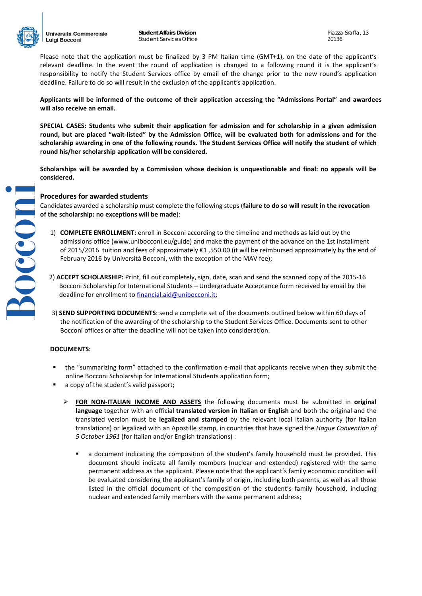

Bocconi

Please note that the application must be finalized by 3 PM Italian time (GMT+1), on the date of the applicant's relevant deadline. In the event the round of application is changed to a following round it is the applicant's responsibility to notify the Student Services office by email of the change prior to the new round's application deadline. Failure to do so will result in the exclusion of the applicant's application.

**Applicants will be informed of the outcome of their application accessing the "Admissions Portal" and awardees will also receive an email.** 

**SPECIAL CASES: Students who submit their application for admission and for scholarship in a given admission round, but are placed "wait-listed" by the Admission Office, will be evaluated both for admissions and for the scholarship awarding in one of the following rounds. The Student Services Office will notify the student of which round his/her scholarship application will be considered.** 

**Scholarships will be awarded by a Commission whose decision is unquestionable and final: no appeals will be considered.** 

#### **Procedures for awarded students**

Candidates awarded a scholarship must complete the following steps (**failure to do so will result in the revocation of the scholarship: no exceptions will be made**):

- 1) **COMPLETE ENROLLMENT:** enroll in Bocconi according to the timeline and methods as laid out by the admissions office (www.unibocconi.eu/guide) and make the payment of the advance on the 1st installment of 2015/2016 tuition and fees of approximately €1 ,550.00 (it will be reimbursed approximately by the end of February 2016 by Università Bocconi, with the exception of the MAV fee);
- 2) **ACCEPT SCHOLARSHIP:** Print, fill out completely, sign, date, scan and send the scanned copy of the 2015-16 Bocconi Scholarship for International Students – Undergraduate Acceptance form received by email by the deadline for enrollment to [financial.aid@unibocconi.it;](mailto:financial.aid@unibocconi.it)
- 3) **SEND SUPPORTING DOCUMENTS**: send a complete set of the documents outlined below within 60 days of the notification of the awarding of the scholarship to the Student Services Office. Documents sent to other Bocconi offices or after the deadline will not be taken into consideration.

#### **DOCUMENTS:**

- the "summarizing form" attached to the confirmation e-mail that applicants receive when they submit the online Bocconi Scholarship for International Students application form;
- a copy of the student's valid passport;
	- **FOR NON-ITALIAN INCOME AND ASSETS** the following documents must be submitted in **original language** together with an official **translated version in Italian or English** and both the original and the translated version must be **legalized and stamped** by the relevant local Italian authority (for Italian translations) or legalized with an Apostille stamp, in countries that have signed the *Hague Convention of 5 October 1961* (for Italian and/or English translations) :
		- a document indicating the composition of the student's family household must be provided. This document should indicate all family members (nuclear and extended) registered with the same permanent address as the applicant. Please note that the applicant's family economic condition will be evaluated considering the applicant's family of origin, including both parents, as well as all those listed in the official document of the composition of the student's family household, including nuclear and extended family members with the same permanent address;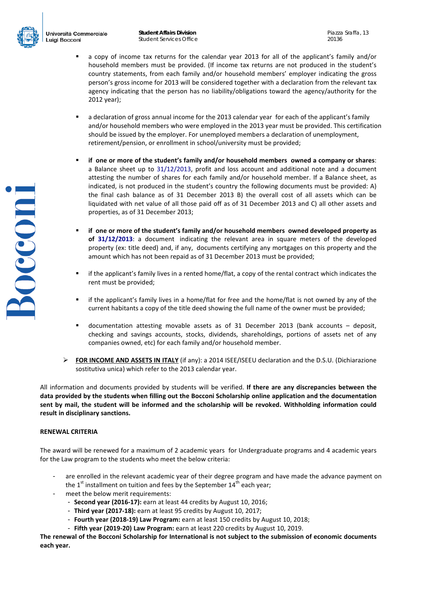

**POCCONI** 

- a copy of income tax returns for the calendar year 2013 for all of the applicant's family and/or household members must be provided. (If income tax returns are not produced in the student's country statements, from each family and/or household members' employer indicating the gross person's gross income for 2013 will be considered together with a declaration from the relevant tax agency indicating that the person has no liability/obligations toward the agency/authority for the 2012 year);
- a declaration of gross annual income for the 2013 calendar year for each of the applicant's family and/or household members who were employed in the 2013 year must be provided. This certification should be issued by the employer. For unemployed members a declaration of unemployment, retirement/pension, or enrollment in school/university must be provided;
- **if one or more of the student's family and/or household members owned a company or shares**: a Balance sheet up to 31/12/2013, profit and loss account and additional note and a document attesting the number of shares for each family and/or household member. If a Balance sheet, as indicated, is not produced in the student's country the following documents must be provided: A) the final cash balance as of 31 December 2013 B) the overall cost of all assets which can be liquidated with net value of all those paid off as of 31 December 2013 and C) all other assets and properties, as of 31 December 2013;
- **if one or more of the student's family and/or household members owned developed property as of 31/12/2013**: a document indicating the relevant area in square meters of the developed property (ex: title deed) and, if any, documents certifying any mortgages on this property and the amount which has not been repaid as of 31 December 2013 must be provided;
- if the applicant's family lives in a rented home/flat, a copy of the rental contract which indicates the rent must be provided;
- if the applicant's family lives in a home/flat for free and the home/flat is not owned by any of the current habitants a copy of the title deed showing the full name of the owner must be provided;
- documentation attesting movable assets as of 31 December 2013 (bank accounts deposit, checking and savings accounts, stocks, dividends, shareholdings, portions of assets net of any companies owned, etc) for each family and/or household member.
- **FOR INCOME AND ASSETS IN ITALY** (if any): a 2014 ISEE/ISEEU declaration and the D.S.U. (Dichiarazione sostitutiva unica) which refer to the 2013 calendar year.

All information and documents provided by students will be verified. **If there are any discrepancies between the data provided by the students when filling out the Bocconi Scholarship online application and the documentation sent by mail, the student will be informed and the scholarship will be revoked. Withholding information could result in disciplinary sanctions.**

#### **RENEWAL CRITERIA**

The award will be renewed for a maximum of 2 academic years for Undergraduate programs and 4 academic years for the Law program to the students who meet the below criteria:

- are enrolled in the relevant academic year of their degree program and have made the advance payment on the  $1<sup>st</sup>$  installment on tuition and fees by the September  $14<sup>th</sup>$  each year;
- meet the below merit requirements:
	- **Second year (2016-17):** earn at least 44 credits by August 10, 2016;
	- **Third year (2017-18):** earn at least 95 credits by August 10, 2017;
	- **Fourth year (2018-19) Law Program:** earn at least 150 credits by August 10, 2018;
	- **Fifth year (2019-20) Law Program:** earn at least 220 credits by August 10, 2019.

**The renewal of the Bocconi Scholarship for International is not subject to the submission of economic documents each year.**